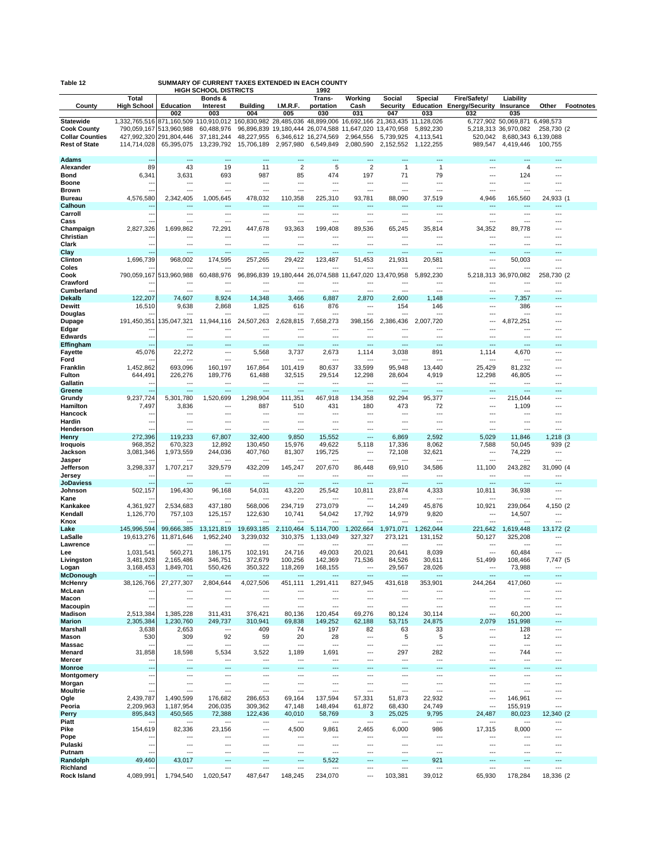| SUMMARY OF CURRENT TAXES EXTENDED IN EACH COUNTY<br>Table 12 |                            |                               |                                                                  |                                            |                                  |                                   |                                            |                                    |                        |                                  |                                            |                             |                  |
|--------------------------------------------------------------|----------------------------|-------------------------------|------------------------------------------------------------------|--------------------------------------------|----------------------------------|-----------------------------------|--------------------------------------------|------------------------------------|------------------------|----------------------------------|--------------------------------------------|-----------------------------|------------------|
|                                                              | Total                      |                               | <b>HIGH SCHOOL DISTRICTS</b><br>Bonds &                          |                                            |                                  | 1992<br>Trans-                    | Working                                    | Social                             | Special                | Fire/Safety/                     | Liability                                  |                             |                  |
| County                                                       | <b>High School</b>         | Education<br>002              | <b>Interest</b>                                                  | <b>Building</b><br>004                     | I.M.R.F.<br>005                  | portation<br>030                  | Cash                                       | <b>Security</b><br>047             |                        | <b>Education Energy/Security</b> | Insurance                                  | Other                       | <b>Footnotes</b> |
| <b>Statewide</b>                                             | 1,332,765,516              |                               | 003<br>871,160,509 110,910,012 160,830,982 28,485,036 48,899,006 |                                            |                                  |                                   | 031                                        | 16,692,166 21,363,435              | 033<br>11,128,026      | 032                              | 035<br>6,727,902 50,069,871 6,498,573      |                             |                  |
| <b>Cook County</b>                                           | 790,059,167                | 513,960,988                   | 60,488,976                                                       |                                            | 96,896,839 19,180,444 26,074,588 |                                   | 11,647,020                                 | 13,470,958                         | 5,892,230              |                                  | 5,218,313 36,970,082                       | 258,730 (2)                 |                  |
| <b>Collar Counties</b><br><b>Rest of State</b>               | 427,992,320<br>114,714,028 | 291,804,446<br>65,395,075     | 37, 181, 244<br>13,239,792                                       | 48,227,955<br>15,706,189                   | 2,957,980                        | 6,346,612 16,274,569<br>6,549,849 | 2,964,556<br>2,080,590                     | 5,739,925<br>2,152,552             | 4,113,541<br>1,122,255 | 520,042<br>989,547               | 8,680,343 6,139,088<br>4,419,446           | 100,755                     |                  |
|                                                              |                            |                               |                                                                  |                                            |                                  |                                   |                                            |                                    |                        |                                  |                                            |                             |                  |
| <b>Adams</b><br>Alexander                                    | 89                         | ---<br>43                     | ---<br>19                                                        | $\overline{\phantom{a}}$<br>11             | ---<br>$\overline{2}$            | ---<br>5                          | $\overline{a}$<br>$\overline{2}$           | ---<br>$\mathbf{1}$                | ---<br>$\mathbf{1}$    | ---<br>---                       | ---<br>4                                   | ---<br>---                  |                  |
| <b>Bond</b>                                                  | 6,341                      | 3,631                         | 693                                                              | 987                                        | 85                               | 474                               | 197                                        | 71                                 | 79                     | ---                              | 124                                        | ---                         |                  |
| <b>Boone</b>                                                 |                            | ---<br>---                    | ---<br>$\overline{a}$                                            | ---<br>$\overline{a}$                      | ---<br>$\overline{a}$            | ---<br>---                        | ---                                        | ---                                | $\overline{a}$<br>---  | ---                              | ---<br>$\sim$                              | ---                         |                  |
| Brown<br><b>Bureau</b>                                       | 4,576,580                  | 2,342,405                     | 1,005,645                                                        | 478,032                                    | 110,358                          | 225,310                           | $\overline{a}$<br>93,781                   | ---<br>88,090                      | 37.519                 | ---<br>4,946                     | 165,560                                    | 24,933 (1                   |                  |
| Calhoun                                                      |                            |                               |                                                                  |                                            |                                  | ---                               |                                            | ---                                |                        | $\sim$                           |                                            |                             |                  |
| Carroll<br>Cass                                              | --                         | ---<br>---                    | $\overline{a}$<br>---                                            | $\overline{a}$<br>---                      | $\overline{a}$<br>---            | ---<br>---                        | $\overline{a}$<br>$--$                     | $\overline{\phantom{a}}$<br>---    | ---                    | ---<br>---                       | $\overline{a}$<br>---                      | ---                         |                  |
| Champaign                                                    | 2,827,326                  | 1,699,862                     | 72,291                                                           | 447,678                                    | 93,363                           | 199.408                           | 89,536                                     | 65,245                             | 35,814                 | 34,352                           | 89,778                                     |                             |                  |
| Christian<br>Clark                                           | ۰.,                        | ---<br>$\overline{a}$         | $\overline{a}$<br>$\overline{\phantom{a}}$                       | ---<br>$\overline{\phantom{a}}$            | $---$<br>$\overline{a}$          | ---<br>---                        | $\overline{a}$<br>$\overline{a}$           | $\overline{a}$<br>$\overline{a}$   | ---<br>---             | ---<br>$\overline{a}$            | $\overline{a}$<br>$\overline{a}$           | ---<br>---                  |                  |
| Clay                                                         |                            | ---                           | ---                                                              | ---                                        | ÷÷                               | ---                               |                                            | ---                                |                        |                                  | ---                                        |                             |                  |
| Clinton                                                      | 1,696,739                  | 968,002                       | 174,595                                                          | 257,265                                    | 29,422                           | 123,487                           | 51,453                                     | 21,931                             | 20,581                 | ---                              | 50,003                                     | ---                         |                  |
| Coles<br>Cook                                                | 790,059,167                | $\overline{a}$<br>513,960,988 | 60,488,976                                                       | 96,896,839                                 | 19,180,444                       | 26,074,588                        | 11,647,020                                 | 13,470,958                         | 5,892,230              | $\overline{a}$                   | 5,218,313 36,970,082                       | ---<br>258,730 (2           |                  |
| Crawford                                                     |                            | ---                           | ---                                                              | $---$                                      | ---                              | ---                               | ---                                        | $--$                               | ---                    | ---                              | ---                                        | ---                         |                  |
| Cumberland<br><b>Dekalb</b>                                  | 122,207                    | $\overline{a}$<br>74,607      | $\overline{a}$<br>8,924                                          | $\overline{a}$<br>14,348                   | ÷÷.<br>3,466                     | $\overline{a}$<br>6,887           | $\overline{a}$<br>2,870                    | $---$<br>2,600                     | 1,148                  | $\overline{a}$<br>---            | $\sim$<br>7,357                            | ---                         |                  |
| Dewitt                                                       | 16,510                     | 9,638                         | 2,868                                                            | 1,825                                      | 616                              | 876                               | $\overline{a}$                             | 154                                | 146                    | ---                              | 386                                        | ---                         |                  |
| Douglas                                                      |                            |                               |                                                                  |                                            |                                  | Ξ.                                | $\overline{a}$                             |                                    |                        | ---                              | $\sim$                                     | ---                         |                  |
| Dupage<br>Edgar                                              | 191,450,351                | 35,047,321<br>---             | 11,944,116                                                       | 24,507,263<br>---                          | 2,628,815                        | 7,658,273<br>---                  | 398,156<br>$\overline{a}$                  | 2,386,436<br>---                   | 2,007,720<br>---       | ---                              | 4,872,251<br>$--$                          |                             |                  |
| <b>Edwards</b>                                               |                            | ---                           | ÷÷                                                               | $\overline{a}$                             | ---                              | ---                               | $\overline{a}$                             | ---                                | ---                    | ---                              | ---                                        |                             |                  |
| Effingham<br><b>Fayette</b>                                  | 45,076                     | ---<br>22,272                 | $\overline{\phantom{a}}$                                         | ---<br>5,568                               | ---<br>3,737                     | ---<br>2,673                      | ---<br>1,114                               | 3,038                              | ---<br>891             | ---<br>1,114                     | ---<br>4,670                               | ---                         |                  |
| Ford                                                         |                            |                               | ---                                                              |                                            |                                  |                                   |                                            |                                    |                        |                                  |                                            |                             |                  |
| Franklin                                                     | 1,452,862<br>644,491       | 693,096                       | 160,197<br>189,776                                               | 167,864                                    | 101,419<br>32,515                | 80,637                            | 33,599<br>12,298                           | 95.948                             | 13,440                 | 25.429                           | 81.232<br>46,805                           |                             |                  |
| Fulton<br>Gallatin                                           | --                         | 226,276<br>---                | $\overline{a}$                                                   | 61,488<br>$\overline{\phantom{a}}$         | $\overline{\phantom{a}}$         | 29,514<br>---                     | $\overline{\phantom{a}}$                   | 28,604<br>$\overline{\phantom{a}}$ | 4,919<br>---           | 12,298<br>$\overline{a}$         | $\overline{\phantom{a}}$                   | ---                         |                  |
| Greene                                                       |                            | ---                           | ---                                                              | $\overline{\phantom{a}}$                   | ---                              | ---                               | $\overline{a}$                             | ---                                | ---                    | ---                              | ---                                        |                             |                  |
| Grundy<br>Hamilton                                           | 9,237,724<br>7,497         | 5,301,780<br>3,836            | 1,520,699<br>---                                                 | 1,298,904<br>887                           | 111,351<br>510                   | 467,918<br>431                    | 134,358<br>180                             | 92,294<br>473                      | 95,377<br>72           | ---<br>$\overline{a}$            | 215,044<br>1,109                           | ---                         |                  |
| Hancock                                                      | ۰.,                        | ---                           | ---                                                              | ---                                        | ---                              | ---                               | ---                                        | ---                                | ---                    | ---                              | ---                                        |                             |                  |
| Hardin<br>Henderson                                          |                            | ---<br>$\overline{a}$         | ---<br>$\overline{a}$                                            | $\overline{a}$<br>---                      | ---<br>$\overline{a}$            | ---<br>$\overline{a}$             | $\overline{a}$<br>$\sim$                   | ---<br>$\overline{a}$              | ---                    | ---<br>---                       | ---<br>$\sim$                              |                             |                  |
| Henry                                                        | 272,396                    | 119,233                       | 67,807                                                           | 32,400                                     | 9,850                            | 15,552                            | $\overline{a}$                             | 6,869                              | 2,592                  | 5,029                            | 11,846                                     | $1,218$ (3)                 |                  |
| <b>Iroquois</b>                                              | 968,352                    | 670,323                       | 12,892                                                           | 130,450                                    | 15,976                           | 49,622                            | 5,118                                      | 17,336                             | 8,062                  | 7,588                            | 50,045                                     | 939 (2                      |                  |
| Jackson<br>Jasper                                            | 3,081,346                  | 1,973,559                     | 244,036<br>$\overline{a}$                                        | 407,760                                    | 81,307                           | 195,725<br>$\overline{a}$         | ---<br>$\overline{a}$                      | 72,108<br>$\overline{a}$           | 32,621                 | ---<br>$\overline{a}$            | 74,229                                     | ---<br>---                  |                  |
| Jefferson                                                    | 3,298,337                  | 1,707,217                     | 329,579                                                          | 432,209                                    | 145,247                          | 207,670                           | 86,448                                     | 69,910                             | 34,586                 | 11,100                           | 243,282                                    | 31,090 (4                   |                  |
| Jersey<br><b>JoDaviess</b>                                   | ۰.,                        | $\overline{a}$<br>---         | $\overline{\phantom{a}}$<br>---                                  | $\overline{\phantom{a}}$<br>---            | $\overline{\phantom{a}}$<br>---  | ---<br>---                        | $---$<br>$\overline{a}$                    | $\overline{a}$<br>$\overline{a}$   | ---<br>---             | $\overline{a}$<br>---            | $\overline{\phantom{a}}$<br>$\overline{a}$ | ---<br>---                  |                  |
| Johnson                                                      | 502,157                    | 196,430                       | 96,168                                                           | 54,031                                     | 43,220                           | 25,542                            | 10,811                                     | 23,874                             | 4,333                  | 10,811                           | 36,938                                     | ---                         |                  |
| Kane<br>Kankakee                                             | 4,361,927                  | 2,534,683                     | 437.180                                                          | ---<br>568,006                             | ---<br>234.719                   | ---<br>273,079                    | ---                                        | $--$<br>14,249                     | 45,876                 | ---<br>10,921                    | 239,064                                    | ---<br>4,150 (2)            |                  |
| Kendall                                                      | 1,126,770                  | 757,103                       | 125,157                                                          | 122,630                                    | 10,741                           | 54,042                            | 17,792                                     | 14,979                             | 9,820                  | ---                              | 14,507                                     | ---                         |                  |
| Knox<br>Lake                                                 |                            | $---$<br>99,666,385           | $\overline{a}$                                                   | $\overline{\phantom{a}}$                   | $\overline{a}$                   | $\overline{a}$<br>5,114,700       | $\overline{a}$                             | $\overline{a}$                     | ---                    | $\overline{a}$                   | $\sim$                                     | ---                         |                  |
| LaSalle                                                      | 145,996,594<br>19,613,276  | 11,871,646                    | 13,121,819<br>1,952,240                                          | 19,693,185<br>3,239,032                    | 2,110,464<br>310.375             | 1,133,049                         | 1,202,664<br>327,327                       | 1,971,071<br>273,121               | 1,262,044<br>131,152   | 221,642<br>50,127                | 1,619,448<br>325,208                       | 13,172 (2<br>---            |                  |
| Lawrence                                                     |                            |                               | $\overline{a}$                                                   | $\overline{a}$                             | ---                              | $\overline{a}$                    | $--$                                       | $- - -$                            |                        | $\overline{a}$                   | $\overline{a}$                             | ---                         |                  |
| Lee<br>Livingston                                            | 1,031,541<br>3,481,928     | 560,271<br>2,165,486          | 186,175<br>346,751                                               | 102,191<br>372,679                         | 24,716<br>100,256                | 49,003<br>142,369                 | 20,021<br>71,536                           | 20,641<br>84,526                   | 8,039<br>30,611        | $\overline{a}$<br>51,499         | 60,484<br>108,466                          | ---<br>7,747 (5             |                  |
| Logan                                                        | 3,168,453                  | 1,849,701                     | 550,426                                                          | 350,322                                    | 118,269                          | 168,155                           | ---                                        | 29,567                             | 28,026                 | ---                              | 73,988                                     | ---                         |                  |
| McDonough<br><b>McHenry</b>                                  | 38,126,766                 | 27,277,307                    | ---<br>2,804,644                                                 | ---<br>4,027,506                           | ---<br>451,111                   | ---<br>1.291.411                  | $\overline{a}$<br>827,945                  | $---$<br>431,618                   | ---<br>353,901         | $\overline{a}$<br>244,264        | ---<br>417,060                             | ---<br>---                  |                  |
| McLean                                                       |                            | ---                           | ---                                                              | $\overline{a}$                             | $\overline{a}$                   | ---                               | $\overline{a}$                             | $\overline{a}$                     | ---                    | ---                              | $\overline{a}$                             | ---                         |                  |
| Macon<br>Macoupin                                            | --                         | ---<br>$\overline{a}$         | ---<br>---                                                       | ---<br>$\overline{a}$                      | ---<br>$\overline{a}$            | ---<br>---                        | ---<br>$\overline{a}$                      | ---<br>$\overline{\phantom{a}}$    | ---<br>---             | ---<br>$\overline{a}$            | ---<br>$\overline{a}$                      | ---                         |                  |
| <b>Madison</b>                                               | 2.513.384                  | 1,385,228                     | 311,431                                                          | 376,421                                    | 80,136                           | 120.454                           | 69,276                                     | 80,124                             | 30,114                 | $\overline{a}$                   | 60,200                                     | ---                         |                  |
| <b>Marion</b>                                                | 2,305,384                  | 1,230,760                     | 249,737                                                          | 310,941                                    | 69,838                           | 149,252                           | 62,188                                     | 53,715                             | 24,875                 | 2,079                            | 151.998                                    | $\overline{a}$              |                  |
| Marshall<br>Mason                                            | 3,638<br>530               | 2,653<br>309                  | $\overline{\phantom{a}}$<br>92                                   | 409<br>59                                  | 74<br>20                         | 197<br>28                         | 82<br>---                                  | 63<br>5                            | 33<br>5                | $\overline{a}$<br>---            | 128<br>12                                  | ---<br>---                  |                  |
| <b>Massac</b>                                                |                            | ---                           | ---                                                              | ---                                        | ---                              | ---                               | $\overline{a}$                             | $\cdots$                           | ---                    |                                  | $\cdots$                                   |                             |                  |
| Menard<br>Mercer                                             | 31,858<br>۰.,              | 18,598<br>$\overline{a}$      | 5,534<br>$\overline{\phantom{a}}$                                | 3,522<br>$\overline{\phantom{a}}$          | 1,189<br>$\overline{a}$          | 1,691<br>---                      | $\overline{a}$<br>$\overline{\phantom{a}}$ | 297<br>$\overline{a}$              | 282<br>---             | $\overline{a}$<br>$\overline{a}$ | 744<br>$\overline{a}$                      | $\overline{a}$<br>---       |                  |
| <b>Monroe</b>                                                | ---                        | ---                           | ---                                                              | ---                                        | ---                              | ---                               | ---                                        | ---                                | ---                    | $---$                            | ---                                        | ---                         |                  |
| Montgomery                                                   | ۰.,<br>÷÷.                 | ---<br>$\overline{a}$         | ---<br>$\overline{a}$                                            | $\overline{\phantom{a}}$<br>$\overline{a}$ | ---<br>$\overline{a}$            | ---<br>---                        | $\overline{\phantom{a}}$<br>$\overline{a}$ | ---<br>$\overline{a}$              | ---<br>---             | ---<br>$\overline{a}$            | ---<br>$\overline{a}$                      | ---<br>---                  |                  |
| Morgan<br>Moultrie                                           |                            | $\overline{a}$                | $\sim$                                                           | $\overline{a}$                             | ---                              | ---                               | $\overline{a}$                             | $\overline{a}$                     | ---                    | $\overline{a}$                   | $\overline{a}$                             | ---                         |                  |
| Ogle                                                         | 2,439,787                  | 1.490.599                     | 176.682                                                          | 286,653                                    | 69,164                           | 137.594                           | 57,331                                     | 51,873                             | 22,932                 | ---                              | 146.961                                    | ---                         |                  |
| Peoria<br>Perry                                              | 2,209,963<br>895,843       | 1,187,954<br>450,565          | 206,035<br>72,388                                                | 309,362<br>122,436                         | 47,148<br>40,010                 | 148,494<br>58,769                 | 61,872<br>3                                | 68,430<br>25,025                   | 24,749<br>9,795        | $\overline{a}$<br>24,487         | 155,919<br>80,023                          | $\overline{a}$<br>12,340 (2 |                  |
| <b>Piatt</b>                                                 |                            | $\overline{a}$                | $\overline{a}$                                                   | ---                                        | $\overline{a}$                   | $\overline{a}$                    | $\overline{a}$                             | $\overline{a}$                     | ---                    | $\overline{a}$                   | $\overline{a}$                             | ---                         |                  |
| Pike                                                         | 154,619                    | 82,336<br>$---$               | 23,156<br>---                                                    | ---<br>$\overline{\phantom{a}}$            | 4,500<br>---                     | 9,861<br>---                      | 2,465<br>$\overline{\phantom{a}}$          | 6,000<br>$\overline{a}$            | 986<br>---             | 17,315<br>$\overline{a}$         | 8,000<br>---                               | ---<br>---                  |                  |
| Pope<br>Pulaski                                              | ۰.,                        | $\overline{a}$                | ---                                                              | ---                                        | ---                              | ---                               | $\overline{a}$                             | ---                                | ---                    | $\overline{a}$                   | ---                                        | ---                         |                  |
| Putnam                                                       | Щ,                         | ---                           | ---                                                              | $\overline{a}$                             | ---                              | ---                               | $\overline{a}$                             | $\overline{a}$                     | ---                    | $\overline{a}$                   | $\sim$                                     | ---                         |                  |
| Randolph<br>Richland                                         | 49,460                     | 43,017<br>---                 | $\overline{a}$<br>$\overline{a}$                                 | $-$<br>$\overline{a}$                      | ---<br>$\overline{a}$            | 5,522<br>---                      | $\overline{a}$<br>$\overline{\phantom{a}}$ | $\overline{a}$<br>$\overline{a}$   | 921<br>---             | $\overline{a}$<br>$\overline{a}$ | $\sim$<br>$\overline{a}$                   | ---<br>---                  |                  |
| <b>Rock Island</b>                                           | 4,089,991                  | 1,794,540                     | 1,020,547                                                        | 487,647                                    | 148,245                          | 234,070                           | $\overline{\phantom{a}}$                   | 103,381                            | 39,012                 | 65,930                           | 178,284                                    | 18,336 (2)                  |                  |